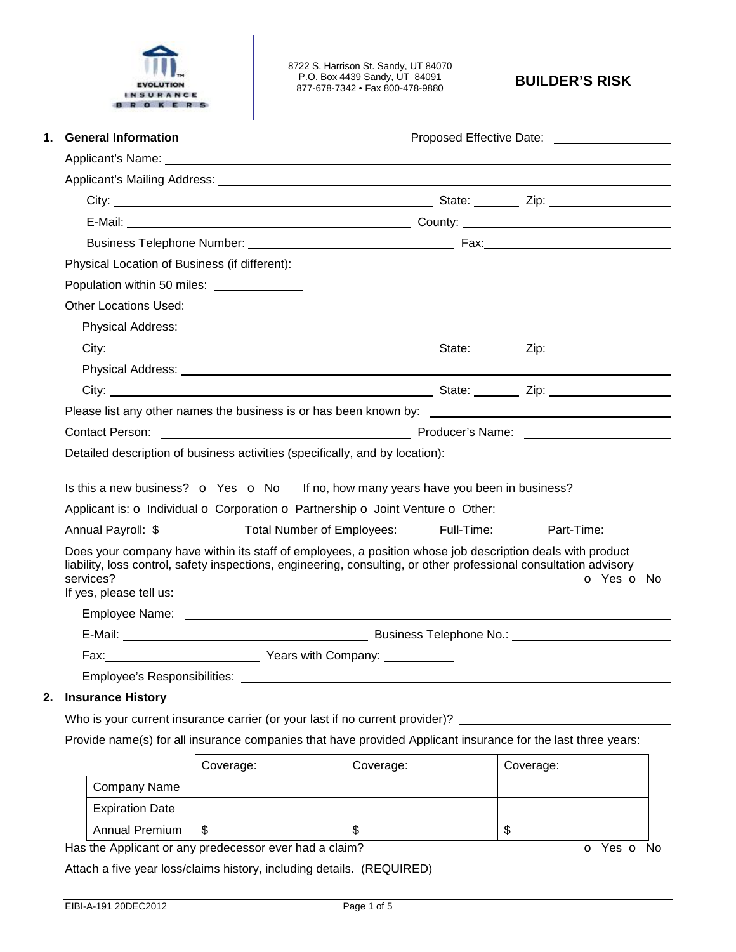

8722 S. Harrison St. Sandy, UT 84070 P.O. Box 4439 Sandy, UT 84091 877-678-7342 • Fax 800-478-9880 **BUILDER'S RISK** 

| <b>General Information</b><br>1.                                                                                                                                                                                                                                       |  |  |            |  |  |
|------------------------------------------------------------------------------------------------------------------------------------------------------------------------------------------------------------------------------------------------------------------------|--|--|------------|--|--|
| Applicant's Name: The contract of the contract of the contract of the contract of the contract of the contract of the contract of the contract of the contract of the contract of the contract of the contract of the contract                                         |  |  |            |  |  |
|                                                                                                                                                                                                                                                                        |  |  |            |  |  |
|                                                                                                                                                                                                                                                                        |  |  |            |  |  |
|                                                                                                                                                                                                                                                                        |  |  |            |  |  |
|                                                                                                                                                                                                                                                                        |  |  |            |  |  |
|                                                                                                                                                                                                                                                                        |  |  |            |  |  |
| Population within 50 miles: ______________                                                                                                                                                                                                                             |  |  |            |  |  |
| Other Locations Used:                                                                                                                                                                                                                                                  |  |  |            |  |  |
| Physical Address: <u>Communications</u> of the contract of the contract of the contract of the contract of the contract of                                                                                                                                             |  |  |            |  |  |
|                                                                                                                                                                                                                                                                        |  |  |            |  |  |
|                                                                                                                                                                                                                                                                        |  |  |            |  |  |
|                                                                                                                                                                                                                                                                        |  |  |            |  |  |
|                                                                                                                                                                                                                                                                        |  |  |            |  |  |
| Contact Person: <u>Contact Person:</u> Contact Person: Contact Person: Contact Person: Contact Person: Contact Person:                                                                                                                                                 |  |  |            |  |  |
| Detailed description of business activities (specifically, and by location): ________________________________                                                                                                                                                          |  |  |            |  |  |
| Is this a new business? o Yes o No If no, how many years have you been in business? ______<br>Applicant is: o Individual o Corporation o Partnership o Joint Venture o Other:                                                                                          |  |  |            |  |  |
| Annual Payroll: \$ Total Number of Employees: Full-Time: Part-Time:                                                                                                                                                                                                    |  |  |            |  |  |
| Does your company have within its staff of employees, a position whose job description deals with product<br>liability, loss control, safety inspections, engineering, consulting, or other professional consultation advisory<br>services?<br>If yes, please tell us: |  |  | o Yes o No |  |  |
|                                                                                                                                                                                                                                                                        |  |  |            |  |  |
| E-Mail: Later and Contract and Contract and Contract Business Telephone No.: Later and Contract and Contract and Contract and Contract and Contract and Contract and Contract and Contract and Contract and Contract and Contr                                         |  |  |            |  |  |
|                                                                                                                                                                                                                                                                        |  |  |            |  |  |
|                                                                                                                                                                                                                                                                        |  |  |            |  |  |

## **2. Insurance History**

Who is your current insurance carrier (or your last if no current provider)? \_

Provide name(s) for all insurance companies that have provided Applicant insurance for the last three years:

|                        | Coverage: | Coverage: | Coverage: |
|------------------------|-----------|-----------|-----------|
| Company Name           |           |           |           |
| <b>Expiration Date</b> |           |           |           |
| <b>Annual Premium</b>  | S         | ۰D        | ۰D        |

Has the Applicant or any predecessor ever had a claim? **o** Yes **o** No

Attach a five year loss/claims history, including details. (REQUIRED)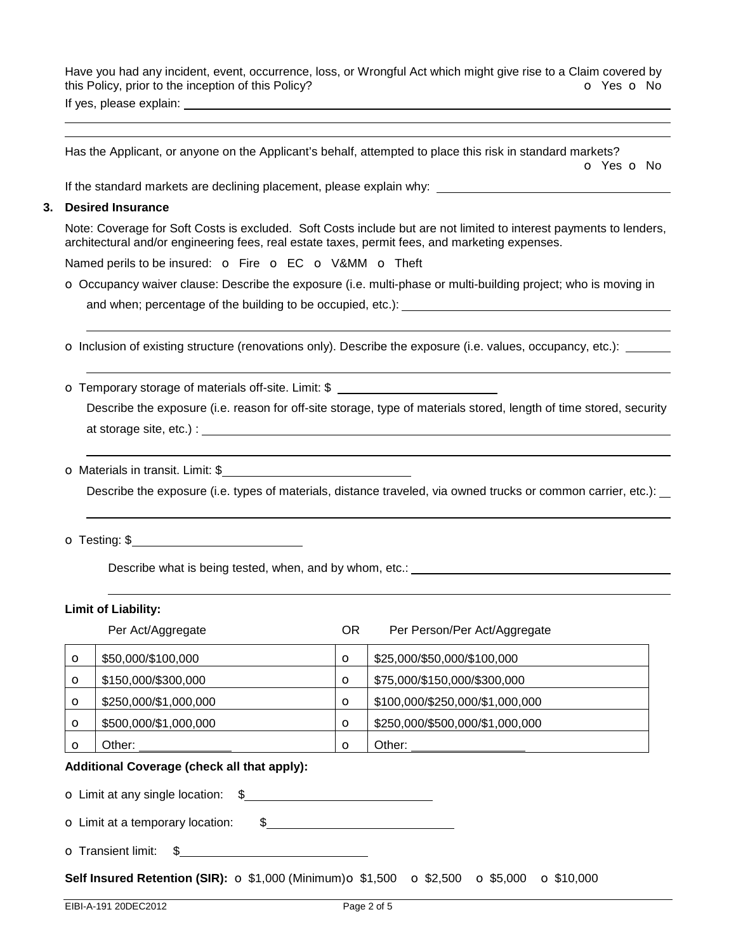Have you had any incident, event, occurrence, loss, or Wrongful Act which might give rise to a Claim covered by this Policy, prior to the inception of this Policy? **o** Yes **o** No If yes, please explain:

Has the Applicant, or anyone on the Applicant's behalf, attempted to place this risk in standard markets? o Yes o No

If the standard markets are declining placement, please explain why:

#### **3. Desired Insurance**

 

Note: Coverage for Soft Costs is excluded. Soft Costs include but are not limited to interest payments to lenders, architectural and/or engineering fees, real estate taxes, permit fees, and marketing expenses.

Named perils to be insured: o Fire o EC o V&MM o Theft

o Occupancy waiver clause: Describe the exposure (i.e. multi-phase or multi-building project; who is moving in

and when; percentage of the building to be occupied, etc.):

o Inclusion of existing structure (renovations only). Describe the exposure (i.e. values, occupancy, etc.):

o Temporary storage of materials off-site. Limit: \$

Describe the exposure (i.e. reason for off-site storage, type of materials stored, length of time stored, security at storage site, etc.) :

o Materials in transit. Limit: \$

Describe the exposure (i.e. types of materials, distance traveled, via owned trucks or common carrier, etc.):

o Testing: \$

Describe what is being tested, when, and by whom, etc.: <u>example and a set of the set of the set of the set of</u>

# **Limit of Liability:**

|          | Per Act/Aggregate     | ΟR      | Per Person/Per Act/Aggregate    |
|----------|-----------------------|---------|---------------------------------|
| $\circ$  | \$50,000/\$100,000    | $\circ$ | \$25,000/\$50,000/\$100,000     |
| $\circ$  | \$150,000/\$300,000   | $\circ$ | \$75,000/\$150,000/\$300,000    |
| $\circ$  | \$250,000/\$1,000,000 | $\circ$ | \$100,000/\$250,000/\$1,000,000 |
| $\circ$  | \$500,000/\$1,000,000 | $\circ$ | \$250,000/\$500,000/\$1,000,000 |
| $\Omega$ | Other:                | $\circ$ | Other:                          |

#### **Additional Coverage (check all that apply):**

o Limit at any single location: \$

o Limit at a temporary location: \$

o Transient limit: \$

**Self Insured Retention (SIR):** o \$1,000 (Minimum) o \$1,500 o \$2,500 o \$5,000 o \$10,000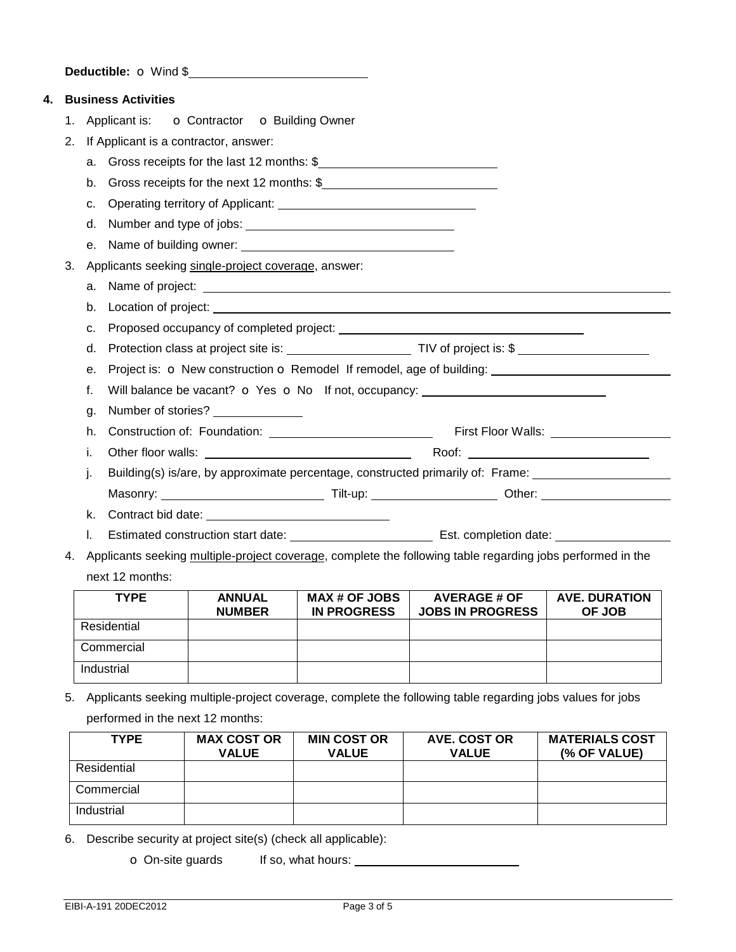**Deductible: o** Wind \$

| 4. |    | <b>Business Activities</b>                                                  |                                                                                                            |  |  |  |
|----|----|-----------------------------------------------------------------------------|------------------------------------------------------------------------------------------------------------|--|--|--|
|    | 1. |                                                                             | Applicant is: <b>o</b> Contractor <b>o</b> Building Owner                                                  |  |  |  |
|    | 2. | If Applicant is a contractor, answer:                                       |                                                                                                            |  |  |  |
|    |    |                                                                             | a. Gross receipts for the last 12 months: \$                                                               |  |  |  |
|    |    |                                                                             | b. Gross receipts for the next 12 months: \$                                                               |  |  |  |
|    |    | c.                                                                          |                                                                                                            |  |  |  |
|    |    | $d_{\cdot}$                                                                 |                                                                                                            |  |  |  |
|    |    |                                                                             |                                                                                                            |  |  |  |
|    | 3. |                                                                             | Applicants seeking single-project coverage, answer:                                                        |  |  |  |
|    |    |                                                                             |                                                                                                            |  |  |  |
|    |    | b.                                                                          |                                                                                                            |  |  |  |
|    |    | C.                                                                          |                                                                                                            |  |  |  |
|    |    | d.                                                                          |                                                                                                            |  |  |  |
|    |    | Project is: O New construction O Remodel If remodel, age of building:<br>е. |                                                                                                            |  |  |  |
|    |    | f.                                                                          | Will balance be vacant? <b>o</b> Yes <b>o</b> No If not, occupancy: _______________________                |  |  |  |
|    |    | g.                                                                          | Number of stories? _______________                                                                         |  |  |  |
|    |    | h.                                                                          |                                                                                                            |  |  |  |
|    |    | i.                                                                          |                                                                                                            |  |  |  |
|    |    | j.                                                                          | Building(s) is/are, by approximate percentage, constructed primarily of: Frame:                            |  |  |  |
|    |    |                                                                             |                                                                                                            |  |  |  |
|    |    | k.                                                                          |                                                                                                            |  |  |  |
|    |    | I.                                                                          |                                                                                                            |  |  |  |
|    | 4. |                                                                             | Applicants seeking multiple-project coverage, complete the following table regarding jobs performed in the |  |  |  |
|    |    | next 12 months:                                                             |                                                                                                            |  |  |  |

| <b>TYPE</b> | <b>ANNUAL</b><br><b>NUMBER</b> | <b>MAX # OF JOBS</b><br><b>IN PROGRESS</b> | <b>AVERAGE # OF</b><br><b>JOBS IN PROGRESS</b> | <b>AVE. DURATION</b><br>OF JOB |
|-------------|--------------------------------|--------------------------------------------|------------------------------------------------|--------------------------------|
| Residential |                                |                                            |                                                |                                |
| Commercial  |                                |                                            |                                                |                                |
| Industrial  |                                |                                            |                                                |                                |

5. Applicants seeking multiple-project coverage, complete the following table regarding jobs values for jobs performed in the next 12 months:

| <b>TYPE</b> | <b>MAX COST OR</b><br><b>VALUE</b> | <b>MIN COST OR</b><br><b>VALUE</b> | <b>AVE. COST OR</b><br><b>VALUE</b> | <b>MATERIALS COST</b><br>(% OF VALUE) |
|-------------|------------------------------------|------------------------------------|-------------------------------------|---------------------------------------|
| Residential |                                    |                                    |                                     |                                       |
| Commercial  |                                    |                                    |                                     |                                       |
| Industrial  |                                    |                                    |                                     |                                       |

6. Describe security at project site(s) (check all applicable):

o On-site guards If so, what hours: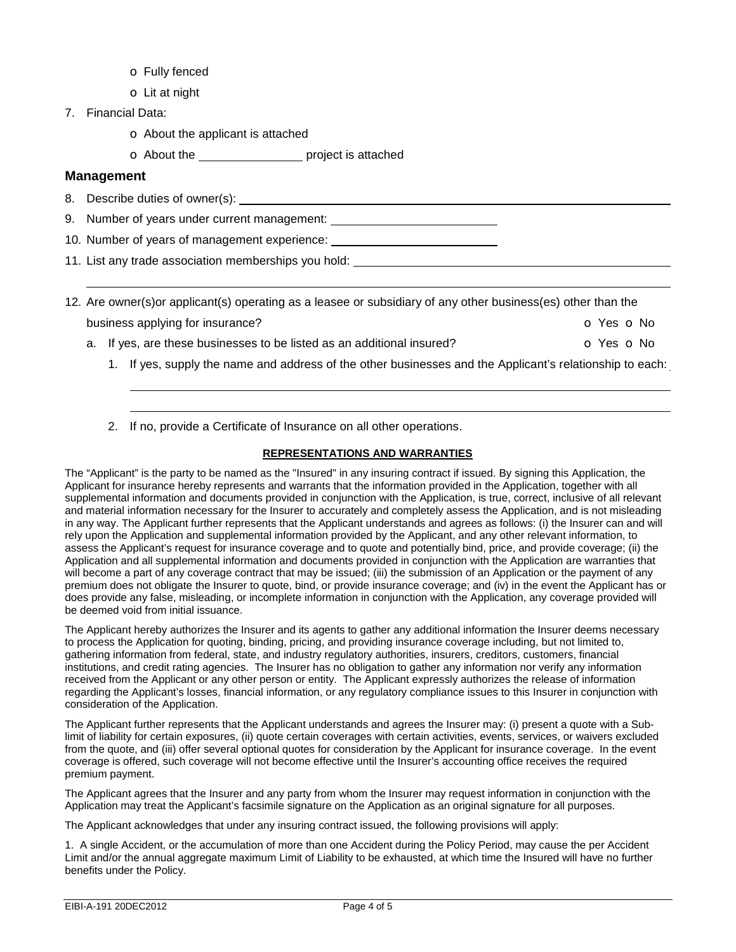- o Fully fenced
- o Lit at night
- 7. Financial Data:
	- o About the applicant is attached
	- O About the **contact attached** project is attached

# **Management**

8. Describe duties of owner(s):

 

- 9. Number of years under current management:
- 10. Number of years of management experience:
- 11. List any trade association memberships you hold:
- 12. Are owner(s)or applicant(s) operating as a leasee or subsidiary of any other business(es) other than the business applying for insurance? **o Yes o No** 
	- a. If yes, are these businesses to be listed as an additional insured?  $\bullet$  Yes  $\bullet$  No
		- 1. If yes, supply the name and address of the other businesses and the Applicant's relationship to each:
		- 2. If no, provide a Certificate of Insurance on all other operations.

## **REPRESENTATIONS AND WARRANTIES**

The "Applicant" is the party to be named as the "Insured" in any insuring contract if issued. By signing this Application, the Applicant for insurance hereby represents and warrants that the information provided in the Application, together with all supplemental information and documents provided in conjunction with the Application, is true, correct, inclusive of all relevant and material information necessary for the Insurer to accurately and completely assess the Application, and is not misleading in any way. The Applicant further represents that the Applicant understands and agrees as follows: (i) the Insurer can and will rely upon the Application and supplemental information provided by the Applicant, and any other relevant information, to assess the Applicant's request for insurance coverage and to quote and potentially bind, price, and provide coverage; (ii) the Application and all supplemental information and documents provided in conjunction with the Application are warranties that will become a part of any coverage contract that may be issued; (iii) the submission of an Application or the payment of any premium does not obligate the Insurer to quote, bind, or provide insurance coverage; and (iv) in the event the Applicant has or does provide any false, misleading, or incomplete information in conjunction with the Application, any coverage provided will be deemed void from initial issuance.

The Applicant hereby authorizes the Insurer and its agents to gather any additional information the Insurer deems necessary to process the Application for quoting, binding, pricing, and providing insurance coverage including, but not limited to, gathering information from federal, state, and industry regulatory authorities, insurers, creditors, customers, financial institutions, and credit rating agencies. The Insurer has no obligation to gather any information nor verify any information received from the Applicant or any other person or entity. The Applicant expressly authorizes the release of information regarding the Applicant's losses, financial information, or any regulatory compliance issues to this Insurer in conjunction with consideration of the Application.

The Applicant further represents that the Applicant understands and agrees the Insurer may: (i) present a quote with a Sublimit of liability for certain exposures, (ii) quote certain coverages with certain activities, events, services, or waivers excluded from the quote, and (iii) offer several optional quotes for consideration by the Applicant for insurance coverage. In the event coverage is offered, such coverage will not become effective until the Insurer's accounting office receives the required premium payment.

The Applicant agrees that the Insurer and any party from whom the Insurer may request information in conjunction with the Application may treat the Applicant's facsimile signature on the Application as an original signature for all purposes.

The Applicant acknowledges that under any insuring contract issued, the following provisions will apply:

1. A single Accident, or the accumulation of more than one Accident during the Policy Period, may cause the per Accident Limit and/or the annual aggregate maximum Limit of Liability to be exhausted, at which time the Insured will have no further benefits under the Policy.